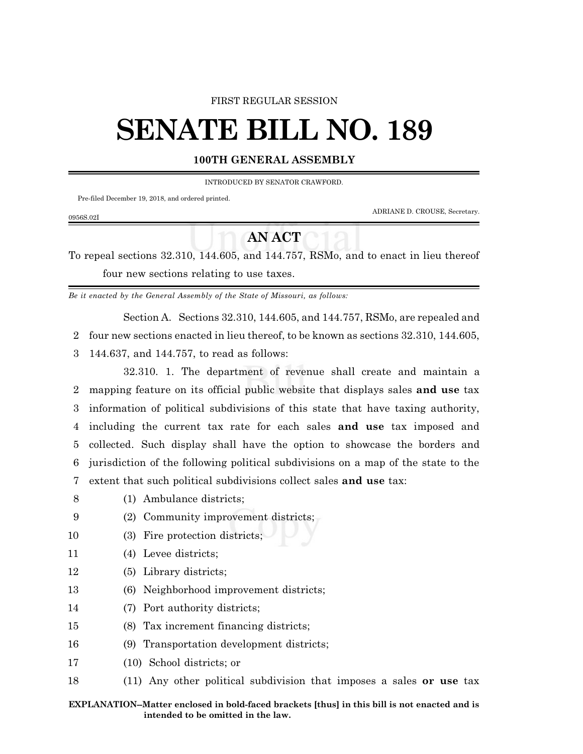### FIRST REGULAR SESSION

# **SENATE BILL NO. 189**

## **100TH GENERAL ASSEMBLY**

INTRODUCED BY SENATOR CRAWFORD.

Pre-filed December 19, 2018, and ordered printed.

ADRIANE D. CROUSE, Secretary.

## **AN ACT**

To repeal sections 32.310, 144.605, and 144.757, RSMo, and to enact in lieu thereof four new sections relating to use taxes.

*Be it enacted by the General Assembly of the State of Missouri, as follows:*

Section A. Sections 32.310, 144.605, and 144.757, RSMo, are repealed and

2 four new sections enacted in lieu thereof, to be known as sections 32.310, 144.605,

3 144.637, and 144.757, to read as follows:

32.310. 1. The department of revenue shall create and maintain a mapping feature on its official public website that displays sales **and use** tax information of political subdivisions of this state that have taxing authority, including the current tax rate for each sales **and use** tax imposed and collected. Such display shall have the option to showcase the borders and jurisdiction of the following political subdivisions on a map of the state to the extent that such political subdivisions collect sales **and use** tax:

- 8 (1) Ambulance districts;
- 9 (2) Community improvement districts;
- 10 (3) Fire protection districts;
- 11 (4) Levee districts;
- 12 (5) Library districts;
- 13 (6) Neighborhood improvement districts;
- 14 (7) Port authority districts;
- 15 (8) Tax increment financing districts;
- 16 (9) Transportation development districts;
- 17 (10) School districts; or
- 18 (11) Any other political subdivision that imposes a sales **or use** tax

#### 0956S.02I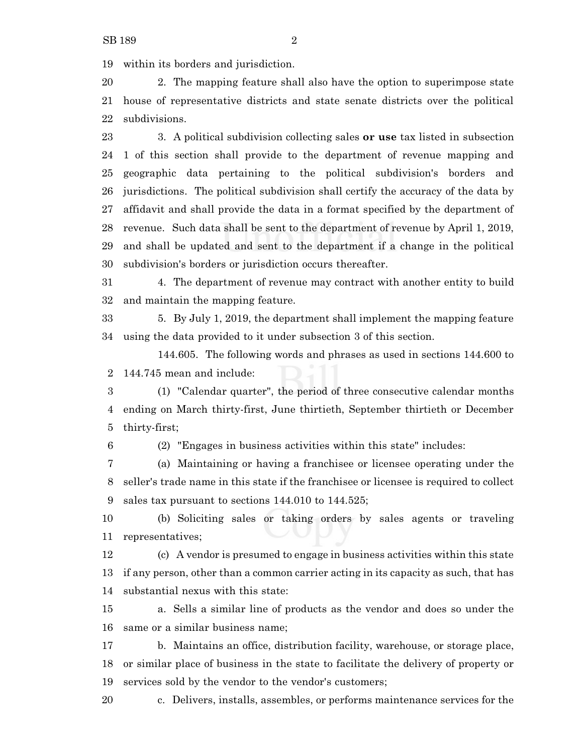within its borders and jurisdiction.

 2. The mapping feature shall also have the option to superimpose state house of representative districts and state senate districts over the political subdivisions.

 3. A political subdivision collecting sales **or use** tax listed in subsection 1 of this section shall provide to the department of revenue mapping and geographic data pertaining to the political subdivision's borders and jurisdictions. The political subdivision shall certify the accuracy of the data by affidavit and shall provide the data in a format specified by the department of revenue. Such data shall be sent to the department of revenue by April 1, 2019, and shall be updated and sent to the department if a change in the political subdivision's borders or jurisdiction occurs thereafter.

 4. The department of revenue may contract with another entity to build and maintain the mapping feature.

 5. By July 1, 2019, the department shall implement the mapping feature using the data provided to it under subsection 3 of this section.

144.605. The following words and phrases as used in sections 144.600 to 144.745 mean and include:

 (1) "Calendar quarter", the period of three consecutive calendar months ending on March thirty-first, June thirtieth, September thirtieth or December thirty-first;

(2) "Engages in business activities within this state" includes:

 (a) Maintaining or having a franchisee or licensee operating under the seller's trade name in this state if the franchisee or licensee is required to collect sales tax pursuant to sections 144.010 to 144.525;

 (b) Soliciting sales or taking orders by sales agents or traveling representatives;

 (c) A vendor is presumed to engage in business activities within this state if any person, other than a common carrier acting in its capacity as such, that has substantial nexus with this state:

 a. Sells a similar line of products as the vendor and does so under the same or a similar business name;

 b. Maintains an office, distribution facility, warehouse, or storage place, or similar place of business in the state to facilitate the delivery of property or services sold by the vendor to the vendor's customers;

c. Delivers, installs, assembles, or performs maintenance services for the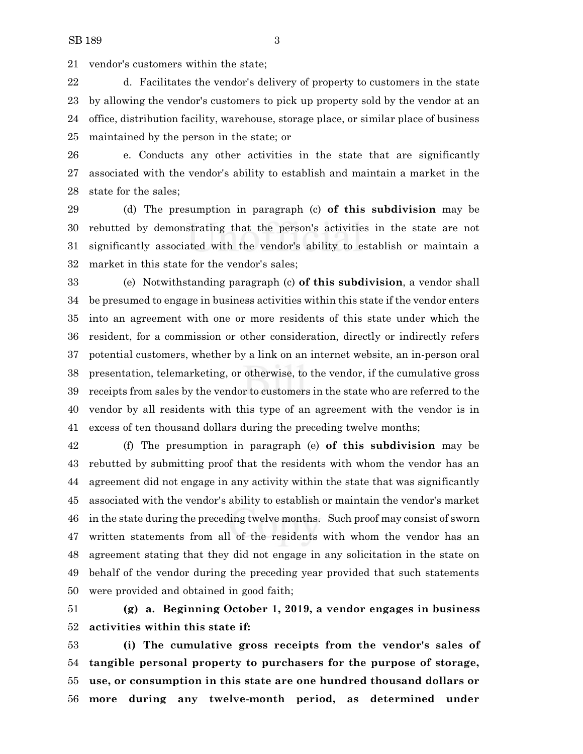vendor's customers within the state;

 d. Facilitates the vendor's delivery of property to customers in the state by allowing the vendor's customers to pick up property sold by the vendor at an office, distribution facility, warehouse, storage place, or similar place of business maintained by the person in the state; or

 e. Conducts any other activities in the state that are significantly associated with the vendor's ability to establish and maintain a market in the state for the sales;

 (d) The presumption in paragraph (c) **of this subdivision** may be rebutted by demonstrating that the person's activities in the state are not significantly associated with the vendor's ability to establish or maintain a market in this state for the vendor's sales;

 (e) Notwithstanding paragraph (c) **of this subdivision**, a vendor shall be presumed to engage in business activities within this state if the vendor enters into an agreement with one or more residents of this state under which the resident, for a commission or other consideration, directly or indirectly refers potential customers, whether by a link on an internet website, an in-person oral presentation, telemarketing, or otherwise, to the vendor, if the cumulative gross receipts from sales by the vendor to customers in the state who are referred to the vendor by all residents with this type of an agreement with the vendor is in excess of ten thousand dollars during the preceding twelve months;

 (f) The presumption in paragraph (e) **of this subdivision** may be rebutted by submitting proof that the residents with whom the vendor has an agreement did not engage in any activity within the state that was significantly associated with the vendor's ability to establish or maintain the vendor's market in the state during the preceding twelve months. Such proof may consist of sworn written statements from all of the residents with whom the vendor has an agreement stating that they did not engage in any solicitation in the state on behalf of the vendor during the preceding year provided that such statements were provided and obtained in good faith;

 **(g) a. Beginning October 1, 2019, a vendor engages in business activities within this state if:**

 **(i) The cumulative gross receipts from the vendor's sales of tangible personal property to purchasers for the purpose of storage, use, or consumption in this state are one hundred thousand dollars or more during any twelve-month period, as determined under**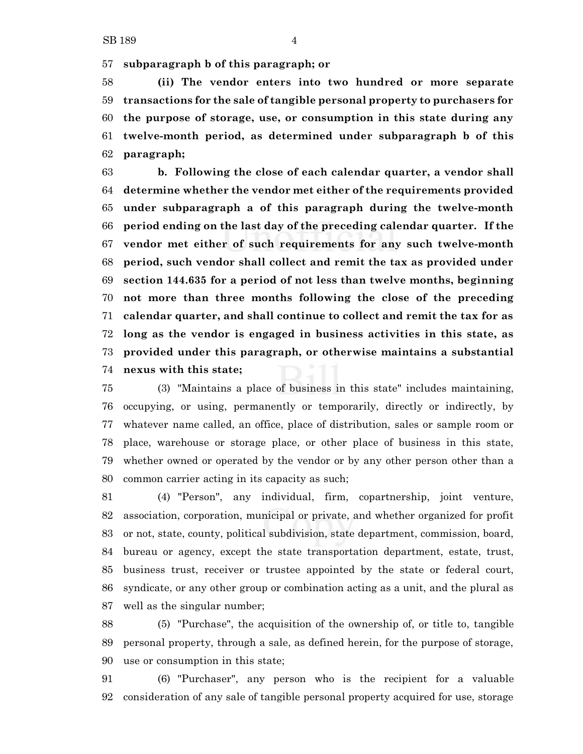**subparagraph b of this paragraph; or**

 **(ii) The vendor enters into two hundred or more separate transactions for the sale of tangible personal property to purchasers for the purpose of storage, use, or consumption in this state during any twelve-month period, as determined under subparagraph b of this paragraph;**

 **b. Following the close of each calendar quarter, a vendor shall determine whether the vendor met either of the requirements provided under subparagraph a of this paragraph during the twelve-month period ending on the last day of the preceding calendar quarter. If the vendor met either of such requirements for any such twelve-month period, such vendor shall collect and remit the tax as provided under section 144.635 for a period of not less than twelve months, beginning not more than three months following the close of the preceding calendar quarter, and shall continue to collect and remit the tax for as long as the vendor is engaged in business activities in this state, as provided under this paragraph, or otherwise maintains a substantial nexus with this state;**

 (3) "Maintains a place of business in this state" includes maintaining, occupying, or using, permanently or temporarily, directly or indirectly, by whatever name called, an office, place of distribution, sales or sample room or place, warehouse or storage place, or other place of business in this state, whether owned or operated by the vendor or by any other person other than a common carrier acting in its capacity as such;

 (4) "Person", any individual, firm, copartnership, joint venture, association, corporation, municipal or private, and whether organized for profit or not, state, county, political subdivision, state department, commission, board, bureau or agency, except the state transportation department, estate, trust, business trust, receiver or trustee appointed by the state or federal court, syndicate, or any other group or combination acting as a unit, and the plural as well as the singular number;

 (5) "Purchase", the acquisition of the ownership of, or title to, tangible personal property, through a sale, as defined herein, for the purpose of storage, use or consumption in this state;

 (6) "Purchaser", any person who is the recipient for a valuable consideration of any sale of tangible personal property acquired for use, storage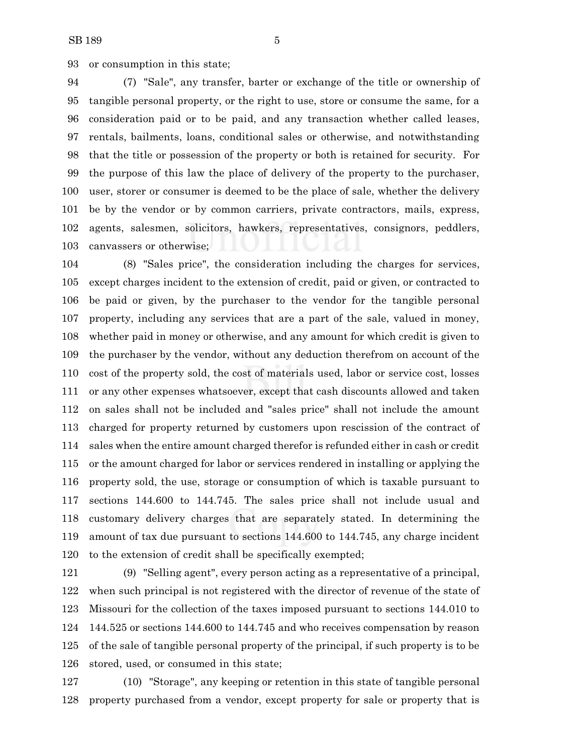or consumption in this state;

 (7) "Sale", any transfer, barter or exchange of the title or ownership of tangible personal property, or the right to use, store or consume the same, for a consideration paid or to be paid, and any transaction whether called leases, rentals, bailments, loans, conditional sales or otherwise, and notwithstanding that the title or possession of the property or both is retained for security. For the purpose of this law the place of delivery of the property to the purchaser, user, storer or consumer is deemed to be the place of sale, whether the delivery be by the vendor or by common carriers, private contractors, mails, express, agents, salesmen, solicitors, hawkers, representatives, consignors, peddlers, canvassers or otherwise;

 (8) "Sales price", the consideration including the charges for services, except charges incident to the extension of credit, paid or given, or contracted to be paid or given, by the purchaser to the vendor for the tangible personal property, including any services that are a part of the sale, valued in money, whether paid in money or otherwise, and any amount for which credit is given to the purchaser by the vendor, without any deduction therefrom on account of the cost of the property sold, the cost of materials used, labor or service cost, losses or any other expenses whatsoever, except that cash discounts allowed and taken on sales shall not be included and "sales price" shall not include the amount charged for property returned by customers upon rescission of the contract of sales when the entire amount charged therefor is refunded either in cash or credit or the amount charged for labor or services rendered in installing or applying the property sold, the use, storage or consumption of which is taxable pursuant to sections 144.600 to 144.745. The sales price shall not include usual and customary delivery charges that are separately stated. In determining the amount of tax due pursuant to sections 144.600 to 144.745, any charge incident to the extension of credit shall be specifically exempted;

 (9) "Selling agent", every person acting as a representative of a principal, when such principal is not registered with the director of revenue of the state of Missouri for the collection of the taxes imposed pursuant to sections 144.010 to 144.525 or sections 144.600 to 144.745 and who receives compensation by reason of the sale of tangible personal property of the principal, if such property is to be stored, used, or consumed in this state;

 (10) "Storage", any keeping or retention in this state of tangible personal property purchased from a vendor, except property for sale or property that is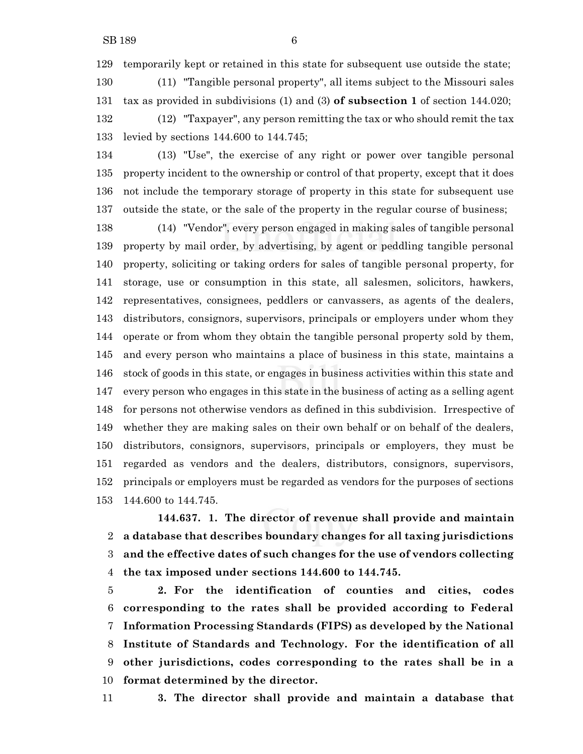temporarily kept or retained in this state for subsequent use outside the state;

 (11) "Tangible personal property", all items subject to the Missouri sales tax as provided in subdivisions (1) and (3) **of subsection 1** of section 144.020; (12) "Taxpayer", any person remitting the tax or who should remit the tax levied by sections 144.600 to 144.745;

 (13) "Use", the exercise of any right or power over tangible personal property incident to the ownership or control of that property, except that it does not include the temporary storage of property in this state for subsequent use outside the state, or the sale of the property in the regular course of business;

 (14) "Vendor", every person engaged in making sales of tangible personal property by mail order, by advertising, by agent or peddling tangible personal property, soliciting or taking orders for sales of tangible personal property, for storage, use or consumption in this state, all salesmen, solicitors, hawkers, representatives, consignees, peddlers or canvassers, as agents of the dealers, distributors, consignors, supervisors, principals or employers under whom they operate or from whom they obtain the tangible personal property sold by them, and every person who maintains a place of business in this state, maintains a stock of goods in this state, or engages in business activities within this state and every person who engages in this state in the business of acting as a selling agent for persons not otherwise vendors as defined in this subdivision. Irrespective of whether they are making sales on their own behalf or on behalf of the dealers, distributors, consignors, supervisors, principals or employers, they must be regarded as vendors and the dealers, distributors, consignors, supervisors, principals or employers must be regarded as vendors for the purposes of sections 144.600 to 144.745.

**144.637. 1. The director of revenue shall provide and maintain a database that describes boundary changes for all taxing jurisdictions and the effective dates of such changes for the use of vendors collecting the tax imposed under sections 144.600 to 144.745.**

 **2. For the identification of counties and cities, codes corresponding to the rates shall be provided according to Federal Information Processing Standards (FIPS) as developed by the National Institute of Standards and Technology. For the identification of all other jurisdictions, codes corresponding to the rates shall be in a format determined by the director.**

**3. The director shall provide and maintain a database that**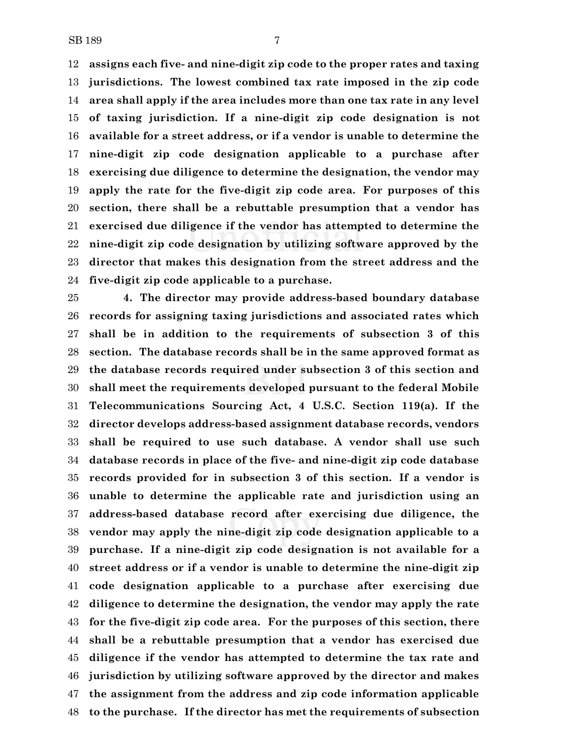**assigns each five- and nine-digit zip code to the proper rates and taxing jurisdictions. The lowest combined tax rate imposed in the zip code area shall apply if the area includes more than one tax rate in any level of taxing jurisdiction. If a nine-digit zip code designation is not available for a street address, or if a vendor is unable to determine the nine-digit zip code designation applicable to a purchase after exercising due diligence to determine the designation, the vendor may apply the rate for the five-digit zip code area. For purposes of this section, there shall be a rebuttable presumption that a vendor has exercised due diligence if the vendor has attempted to determine the nine-digit zip code designation by utilizing software approved by the director that makes this designation from the street address and the five-digit zip code applicable to a purchase.**

 **4. The director may provide address-based boundary database records for assigning taxing jurisdictions and associated rates which shall be in addition to the requirements of subsection 3 of this section. The database records shall be in the same approved format as the database records required under subsection 3 of this section and shall meet the requirements developed pursuant to the federal Mobile Telecommunications Sourcing Act, 4 U.S.C. Section 119(a). If the director develops address-based assignment database records, vendors shall be required to use such database. A vendor shall use such database records in place of the five- and nine-digit zip code database records provided for in subsection 3 of this section. If a vendor is unable to determine the applicable rate and jurisdiction using an address-based database record after exercising due diligence, the vendor may apply the nine-digit zip code designation applicable to a purchase. If a nine-digit zip code designation is not available for a street address or if a vendor is unable to determine the nine-digit zip code designation applicable to a purchase after exercising due diligence to determine the designation, the vendor may apply the rate for the five-digit zip code area. For the purposes of this section, there shall be a rebuttable presumption that a vendor has exercised due diligence if the vendor has attempted to determine the tax rate and jurisdiction by utilizing software approved by the director and makes the assignment from the address and zip code information applicable to the purchase. If the director has met the requirements of subsection**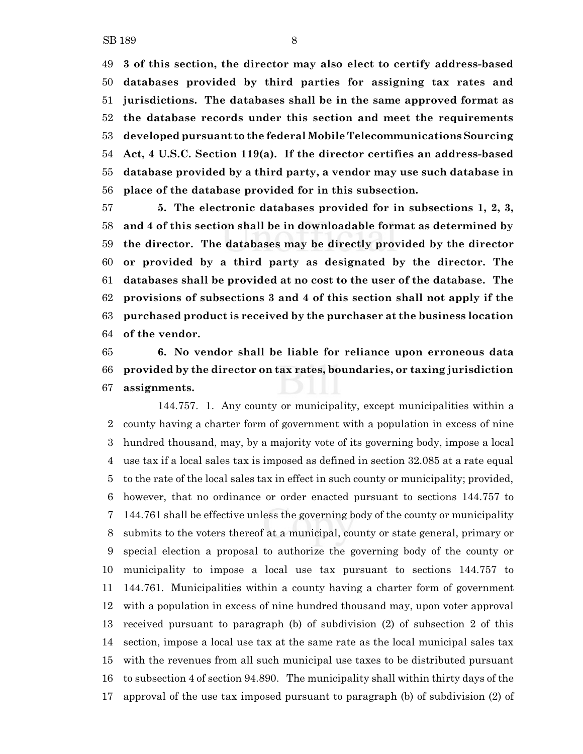**3 of this section, the director may also elect to certify address-based databases provided by third parties for assigning tax rates and jurisdictions. The databases shall be in the same approved format as the database records under this section and meet the requirements developed pursuant to the federal Mobile Telecommunications Sourcing Act, 4 U.S.C. Section 119(a). If the director certifies an address-based database provided by a third party, a vendor may use such database in place of the database provided for in this subsection.**

 **5. The electronic databases provided for in subsections 1, 2, 3, and 4 of this section shall be in downloadable format as determined by the director. The databases may be directly provided by the director or provided by a third party as designated by the director. The databases shall be provided at no cost to the user of the database. The provisions of subsections 3 and 4 of this section shall not apply if the purchased product is received by the purchaser at the business location of the vendor.**

 **6. No vendor shall be liable for reliance upon erroneous data provided by the director on tax rates, boundaries, or taxing jurisdiction assignments.**

144.757. 1. Any county or municipality, except municipalities within a county having a charter form of government with a population in excess of nine hundred thousand, may, by a majority vote of its governing body, impose a local use tax if a local sales tax is imposed as defined in section 32.085 at a rate equal to the rate of the local sales tax in effect in such county or municipality; provided, however, that no ordinance or order enacted pursuant to sections 144.757 to 144.761 shall be effective unless the governing body of the county or municipality submits to the voters thereof at a municipal, county or state general, primary or special election a proposal to authorize the governing body of the county or municipality to impose a local use tax pursuant to sections 144.757 to 144.761. Municipalities within a county having a charter form of government with a population in excess of nine hundred thousand may, upon voter approval received pursuant to paragraph (b) of subdivision (2) of subsection 2 of this section, impose a local use tax at the same rate as the local municipal sales tax with the revenues from all such municipal use taxes to be distributed pursuant to subsection 4 of section 94.890. The municipality shall within thirty days of the approval of the use tax imposed pursuant to paragraph (b) of subdivision (2) of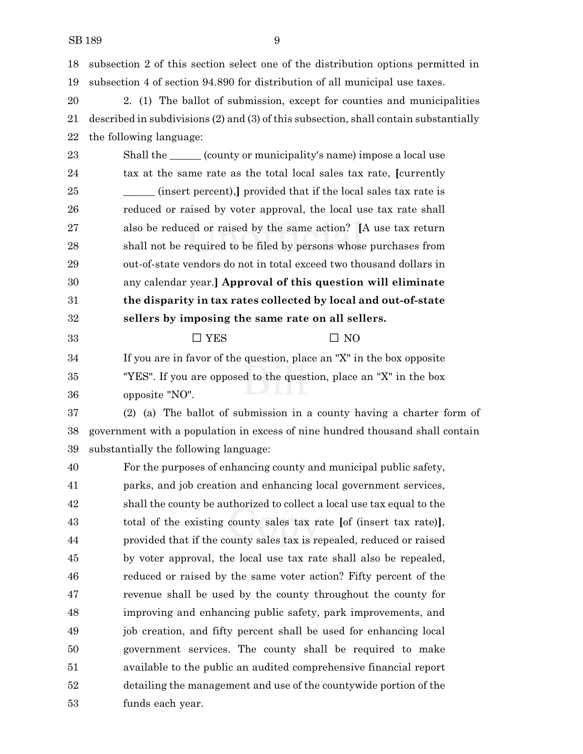subsection 2 of this section select one of the distribution options permitted in subsection 4 of section 94.890 for distribution of all municipal use taxes.

 2. (1) The ballot of submission, except for counties and municipalities described in subdivisions (2) and (3) of this subsection, shall contain substantially the following language:

23 Shall the \_\_\_\_\_\_ (county or municipality's name) impose a local use tax at the same rate as the total local sales tax rate, **[**currently **\_\_\_\_** (insert percent), provided that if the local sales tax rate is reduced or raised by voter approval, the local use tax rate shall also be reduced or raised by the same action? **[**A use tax return shall not be required to be filed by persons whose purchases from out-of-state vendors do not in total exceed two thousand dollars in any calendar year.**] Approval of this question will eliminate the disparity in tax rates collected by local and out-of-state sellers by imposing the same rate on all sellers.**

33  $\Box$  YES  $\Box$  NO

 If you are in favor of the question, place an "X" in the box opposite "YES". If you are opposed to the question, place an "X" in the box opposite "NO".

 (2) (a) The ballot of submission in a county having a charter form of government with a population in excess of nine hundred thousand shall contain substantially the following language:

 For the purposes of enhancing county and municipal public safety, parks, and job creation and enhancing local government services, shall the county be authorized to collect a local use tax equal to the total of the existing county sales tax rate **[**of (insert tax rate)**]**, provided that if the county sales tax is repealed, reduced or raised by voter approval, the local use tax rate shall also be repealed, reduced or raised by the same voter action? Fifty percent of the revenue shall be used by the county throughout the county for improving and enhancing public safety, park improvements, and job creation, and fifty percent shall be used for enhancing local government services. The county shall be required to make available to the public an audited comprehensive financial report detailing the management and use of the countywide portion of the funds each year.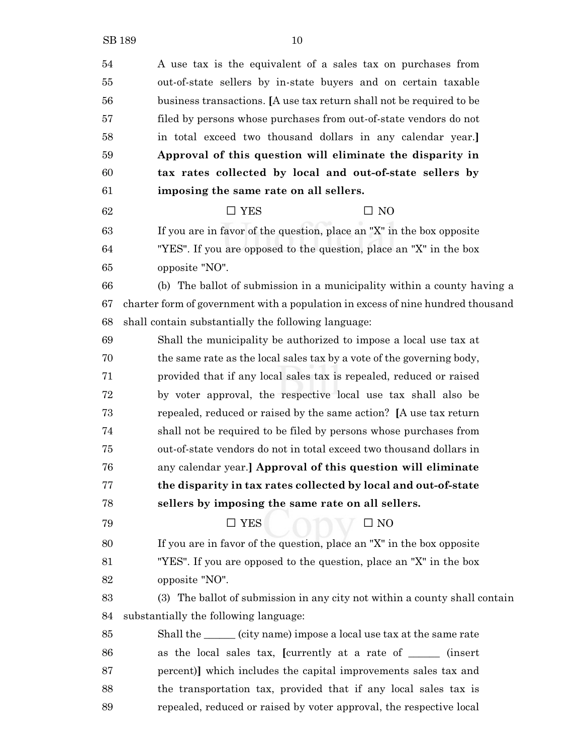A use tax is the equivalent of a sales tax on purchases from out-of-state sellers by in-state buyers and on certain taxable business transactions. **[**A use tax return shall not be required to be filed by persons whose purchases from out-of-state vendors do not in total exceed two thousand dollars in any calendar year.**] Approval of this question will eliminate the disparity in tax rates collected by local and out-of-state sellers by imposing the same rate on all sellers.**  $\Box$  YES  $\Box$  NO If you are in favor of the question, place an "X" in the box opposite "YES". If you are opposed to the question, place an "X" in the box opposite "NO". (b) The ballot of submission in a municipality within a county having a charter form of government with a population in excess of nine hundred thousand shall contain substantially the following language: Shall the municipality be authorized to impose a local use tax at the same rate as the local sales tax by a vote of the governing body, provided that if any local sales tax is repealed, reduced or raised by voter approval, the respective local use tax shall also be repealed, reduced or raised by the same action? **[**A use tax return shall not be required to be filed by persons whose purchases from out-of-state vendors do not in total exceed two thousand dollars in any calendar year.**] Approval of this question will eliminate the disparity in tax rates collected by local and out-of-state sellers by imposing the same rate on all sellers.**  $\Box$  YES  $\Box$  NO If you are in favor of the question, place an "X" in the box opposite "YES". If you are opposed to the question, place an "X" in the box opposite "NO". (3) The ballot of submission in any city not within a county shall contain substantially the following language: Shall the \_\_\_\_\_\_ (city name) impose a local use tax at the same rate as the local sales tax, **[**currently at a rate of \_\_\_\_\_\_ (insert percent)**]** which includes the capital improvements sales tax and the transportation tax, provided that if any local sales tax is repealed, reduced or raised by voter approval, the respective local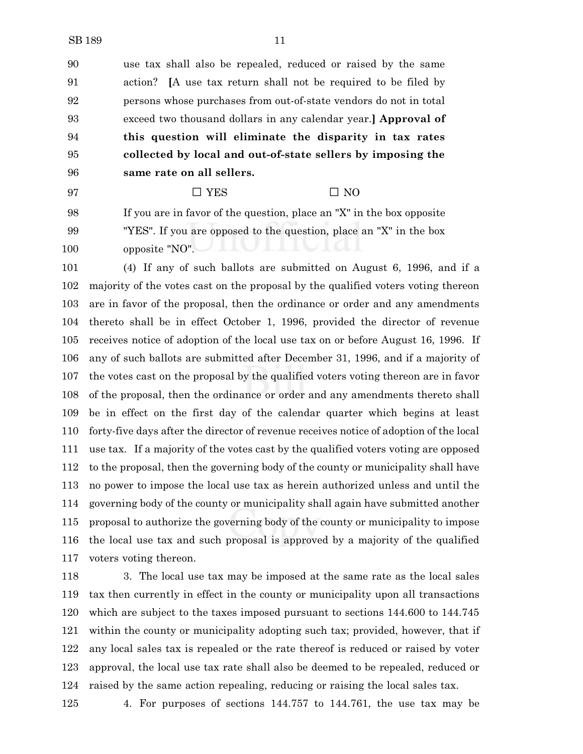use tax shall also be repealed, reduced or raised by the same action? **[**A use tax return shall not be required to be filed by persons whose purchases from out-of-state vendors do not in total exceed two thousand dollars in any calendar year.**] Approval of this question will eliminate the disparity in tax rates collected by local and out-of-state sellers by imposing the**

**same rate on all sellers.**

## 97  $\Box$  YES  $\Box$  NO

 If you are in favor of the question, place an "X" in the box opposite "YES". If you are opposed to the question, place an "X" in the box opposite "NO".

 (4) If any of such ballots are submitted on August 6, 1996, and if a majority of the votes cast on the proposal by the qualified voters voting thereon are in favor of the proposal, then the ordinance or order and any amendments thereto shall be in effect October 1, 1996, provided the director of revenue receives notice of adoption of the local use tax on or before August 16, 1996. If any of such ballots are submitted after December 31, 1996, and if a majority of the votes cast on the proposal by the qualified voters voting thereon are in favor of the proposal, then the ordinance or order and any amendments thereto shall be in effect on the first day of the calendar quarter which begins at least forty-five days after the director of revenue receives notice of adoption of the local use tax. If a majority of the votes cast by the qualified voters voting are opposed to the proposal, then the governing body of the county or municipality shall have no power to impose the local use tax as herein authorized unless and until the governing body of the county or municipality shall again have submitted another proposal to authorize the governing body of the county or municipality to impose the local use tax and such proposal is approved by a majority of the qualified voters voting thereon.

 3. The local use tax may be imposed at the same rate as the local sales tax then currently in effect in the county or municipality upon all transactions which are subject to the taxes imposed pursuant to sections 144.600 to 144.745 within the county or municipality adopting such tax; provided, however, that if any local sales tax is repealed or the rate thereof is reduced or raised by voter approval, the local use tax rate shall also be deemed to be repealed, reduced or raised by the same action repealing, reducing or raising the local sales tax.

4. For purposes of sections 144.757 to 144.761, the use tax may be